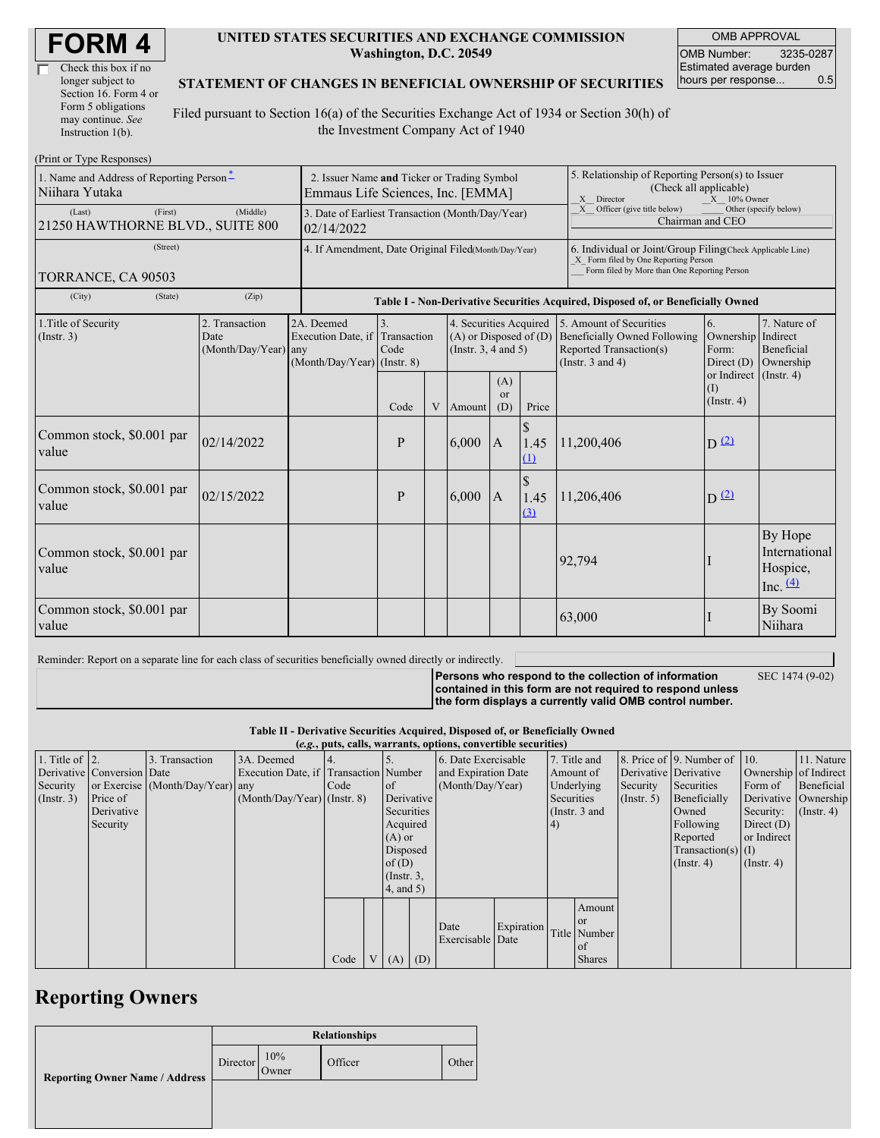| Check this box if no  |  |
|-----------------------|--|
| longer subject to     |  |
| Section 16. Form 4 or |  |
| Form 5 obligations    |  |
| may continue. See     |  |
| Instruction 1(b).     |  |

#### **UNITED STATES SECURITIES AND EXCHANGE COMMISSION Washington, D.C. 20549**

OMB APPROVAL OMB Number: 3235-0287 Estimated average burden hours per response... 0.5

#### **STATEMENT OF CHANGES IN BENEFICIAL OWNERSHIP OF SECURITIES**

Filed pursuant to Section 16(a) of the Securities Exchange Act of 1934 or Section 30(h) of the Investment Company Act of 1940

| (Print or Type Responses)                                  |                                                                                  |                                                                   |                           |   |                                                                                  |                                                                                                                                                    |                                                                                                              |                                                                                                                                                                     |                                                   |                                                     |  |  |  |
|------------------------------------------------------------|----------------------------------------------------------------------------------|-------------------------------------------------------------------|---------------------------|---|----------------------------------------------------------------------------------|----------------------------------------------------------------------------------------------------------------------------------------------------|--------------------------------------------------------------------------------------------------------------|---------------------------------------------------------------------------------------------------------------------------------------------------------------------|---------------------------------------------------|-----------------------------------------------------|--|--|--|
| 1. Name and Address of Reporting Person*<br>Niihara Yutaka | 2. Issuer Name and Ticker or Trading Symbol<br>Emmaus Life Sciences, Inc. [EMMA] |                                                                   |                           |   |                                                                                  |                                                                                                                                                    | 5. Relationship of Reporting Person(s) to Issuer<br>(Check all applicable)<br>X Director<br>$X = 10\%$ Owner |                                                                                                                                                                     |                                                   |                                                     |  |  |  |
| (First)<br>(Last)<br>21250 HAWTHORNE BLVD., SUITE 800      | 3. Date of Earliest Transaction (Month/Day/Year)<br>02/14/2022                   |                                                                   |                           |   |                                                                                  | X Officer (give title below)<br>Other (specify below)<br>Chairman and CEO                                                                          |                                                                                                              |                                                                                                                                                                     |                                                   |                                                     |  |  |  |
| (Street)<br>TORRANCE, CA 90503                             | 4. If Amendment, Date Original Filed(Month/Day/Year)                             |                                                                   |                           |   |                                                                                  | 6. Individual or Joint/Group Filing(Check Applicable Line)<br>X Form filed by One Reporting Person<br>Form filed by More than One Reporting Person |                                                                                                              |                                                                                                                                                                     |                                                   |                                                     |  |  |  |
| (City)<br>(State)                                          | (Zip)                                                                            |                                                                   |                           |   |                                                                                  |                                                                                                                                                    |                                                                                                              | Table I - Non-Derivative Securities Acquired, Disposed of, or Beneficially Owned                                                                                    |                                                   |                                                     |  |  |  |
| 1. Title of Security<br>(Insert. 3)                        | 2. Transaction<br>Date<br>$(Month/Day/Year)$ any                                 | 2A. Deemed<br>Execution Date, if<br>$(Month/Day/Year)$ (Instr. 8) | 3.<br>Transaction<br>Code |   | 4. Securities Acquired<br>$(A)$ or Disposed of $(D)$<br>(Instr. $3, 4$ and $5$ ) |                                                                                                                                                    |                                                                                                              | 5. Amount of Securities<br>6.<br><b>Beneficially Owned Following</b><br>Ownership<br><b>Reported Transaction(s)</b><br>Form:<br>(Instr. $3$ and $4$ )<br>Direct (D) |                                                   | 7. Nature of<br>Indirect<br>Beneficial<br>Ownership |  |  |  |
|                                                            |                                                                                  |                                                                   | Code                      | V | Amount                                                                           | (A)<br>$\alpha$<br>(D)                                                                                                                             | Price                                                                                                        |                                                                                                                                                                     | or Indirect (Instr. 4)<br>(I)<br>$($ Instr. 4 $)$ |                                                     |  |  |  |
| Common stock, \$0.001 par<br>value                         | 02/14/2022                                                                       |                                                                   | P                         |   | 6,000                                                                            | $\overline{A}$                                                                                                                                     | $\mathbb{S}$<br>1.45<br>(1)                                                                                  | 11,200,406                                                                                                                                                          | $D^{(2)}$                                         |                                                     |  |  |  |
| Common stock, \$0.001 par<br>value                         | 02/15/2022                                                                       |                                                                   | P                         |   | 6.000                                                                            | $\overline{A}$                                                                                                                                     | $\mathcal{S}$<br>1.45<br>(3)                                                                                 | 11,206,406                                                                                                                                                          | $D^2$                                             |                                                     |  |  |  |
| Common stock, \$0.001 par<br>value                         |                                                                                  |                                                                   |                           |   |                                                                                  |                                                                                                                                                    |                                                                                                              | 92,794                                                                                                                                                              |                                                   | By Hope<br>International<br>Hospice,<br>Inc. $(4)$  |  |  |  |
| Common stock, \$0.001 par<br>value                         |                                                                                  |                                                                   |                           |   |                                                                                  |                                                                                                                                                    |                                                                                                              | 63,000                                                                                                                                                              |                                                   | By Soomi<br>Niihara                                 |  |  |  |

Reminder: Report on a separate line for each class of securities beneficially owned directly or indirectly.

**Persons who respond to the collection of information**

SEC 1474 (9-02)

**contained in this form are not required to respond unless the form displays a currently valid OMB control number.**

**Table II - Derivative Securities Acquired, Disposed of, or Beneficially Owned**

| (e.g., puts, calls, warrants, options, convertible securities) |                            |                                  |                                       |      |  |                 |                     |                     |                 |              |               |                              |                       |                       |            |
|----------------------------------------------------------------|----------------------------|----------------------------------|---------------------------------------|------|--|-----------------|---------------------|---------------------|-----------------|--------------|---------------|------------------------------|-----------------------|-----------------------|------------|
| 1. Title of $\vert$ 2.                                         |                            | 3. Transaction                   | 3A. Deemed                            |      |  |                 | 6. Date Exercisable |                     |                 | 7. Title and |               | 8. Price of 9. Number of 10. |                       | 11. Nature            |            |
|                                                                | Derivative Conversion Date |                                  | Execution Date, if Transaction Number |      |  |                 |                     | and Expiration Date |                 |              | Amount of     |                              | Derivative Derivative | Ownership of Indirect |            |
| Security                                                       |                            | or Exercise (Month/Day/Year) any |                                       | Code |  | <sub>of</sub>   |                     | (Month/Day/Year)    |                 |              | Underlying    | Security                     | Securities            | Form of               | Beneficial |
| $($ Instr. 3 $)$                                               | Price of                   |                                  | $(Month/Day/Year)$ (Instr. 8)         |      |  |                 | Derivative          |                     | Securities      |              | (Insert. 5)   | Beneficially                 |                       | Derivative Ownership  |            |
|                                                                | Derivative                 |                                  |                                       |      |  |                 | Securities          |                     | (Instr. $3$ and |              |               | Owned                        | Security:             | $($ Instr. 4 $)$      |            |
|                                                                | Security                   |                                  |                                       |      |  | Acquired        |                     |                     | $\vert 4)$      |              |               | Following                    | Direct $(D)$          |                       |            |
|                                                                |                            |                                  |                                       |      |  | $(A)$ or        |                     |                     |                 |              |               |                              | Reported              | or Indirect           |            |
|                                                                |                            |                                  |                                       |      |  | Disposed        |                     |                     |                 |              |               |                              | $Transaction(s)$ (I)  |                       |            |
|                                                                |                            |                                  |                                       |      |  | of $(D)$        |                     |                     |                 |              |               |                              | $($ Instr. 4)         | $($ Instr. 4 $)$      |            |
|                                                                |                            |                                  |                                       |      |  | $($ Instr. $3,$ |                     |                     |                 |              |               |                              |                       |                       |            |
|                                                                |                            |                                  |                                       |      |  | $4$ , and $5$ ) |                     |                     |                 |              |               |                              |                       |                       |            |
|                                                                |                            |                                  |                                       |      |  |                 |                     |                     |                 |              | Amount        |                              |                       |                       |            |
|                                                                |                            |                                  |                                       |      |  |                 |                     |                     |                 |              | or            |                              |                       |                       |            |
|                                                                |                            |                                  |                                       |      |  |                 |                     | Date                | Expiration      |              | Title Number  |                              |                       |                       |            |
|                                                                |                            |                                  |                                       |      |  |                 |                     | Exercisable Date    |                 |              | of            |                              |                       |                       |            |
|                                                                |                            |                                  |                                       | Code |  | $V(A)$ (D)      |                     |                     |                 |              | <b>Shares</b> |                              |                       |                       |            |

## **Reporting Owners**

|                                       | <b>Relationships</b> |              |         |       |  |  |  |  |
|---------------------------------------|----------------------|--------------|---------|-------|--|--|--|--|
| <b>Reporting Owner Name / Address</b> | Director             | 10%<br>Owner | Officer | Other |  |  |  |  |
|                                       |                      |              |         |       |  |  |  |  |